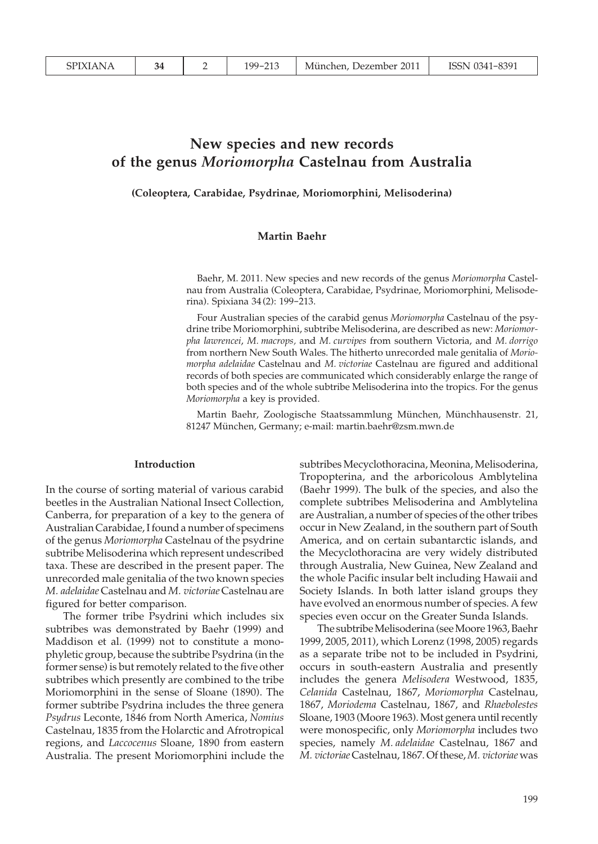# **New species and new records of the genus** *Moriomorpha* **Castelnau from Australia**

**(Coleoptera, Carabidae, Psydrinae, Moriomorphini, Melisoderina)**

## **Martin Baehr**

Baehr, M. 2011. New species and new records of the genus *Moriomorpha* Castelnau from Australia (Coleoptera, Carabidae, Psydrinae, Moriomorphini, Melisoderina). Spixiana 34 (2): 199-213.

Four Australian species of the carabid genus *Moriomorpha* Castelnau of the psydrine tribe Moriomorphini, subtribe Melisoderina, are described as new: *Moriomorpha lawrencei*, *M. macrops,* and *M. curvipes* from southern Victoria, and *M. dorrigo* from northern New South Wales. The hitherto unrecorded male genitalia of *Moriomorpha adelaidae* Castelnau and *M. victoriae* Castelnau are figured and additional records of both species are communicated which considerably enlarge the range of both species and of the whole subtribe Melisoderina into the tropics. For the genus *Moriomorpha* a key is provided.

Martin Baehr, Zoologische Staatssammlung München, Münchhausenstr. 21, 81247 München, Germany; e-mail: martin.baehr@zsm.mwn.de

#### **Introduction**

In the course of sorting material of various carabid beetles in the Australian National Insect Collection, Canberra, for preparation of a key to the genera of Australian Carabidae, I found a number of specimens of the genus *Moriomorpha* Castelnau of the psydrine subtribe Melisoderina which represent undescribed taxa. These are described in the present paper. The unrecorded male genitalia of the two known species *M. adelaidae* Castelnau and *M. victoriae* Castelnau are figured for better comparison.

 The former tribe Psydrini which includes six subtribes was demonstrated by Baehr (1999) and Maddison et al. (1999) not to constitute a monophyletic group, because the subtribe Psydrina (in the former sense) is but remotely related to the five other subtribes which presently are combined to the tribe Moriomorphini in the sense of Sloane (1890). The former subtribe Psydrina includes the three genera *Psydrus* Leconte, 1846 from North America, *Nomius* Castelnau, 1835 from the Holarctic and Afrotropical regions, and *Laccocenus* Sloane, 1890 from eastern Australia. The present Moriomorphini include the

subtribes Mecyclothoracina, Meonina, Melisoderina, Tropopterina, and the arboricolous Amblytelina (Baehr 1999). The bulk of the species, and also the complete subtribes Melisoderina and Amblytelina are Australian, a number of species of the other tribes occur in New Zealand, in the southern part of South America, and on certain subantarctic islands, and the Mecyclothoracina are very widely distributed through Australia, New Guinea, New Zealand and the whole Pacific insular belt including Hawaii and Society Islands. In both latter island groups they have evolved an enormous number of species. A few species even occur on the Greater Sunda Islands.

 The subtribe Melisoderina (see Moore 1963, Baehr 1999, 2005, 2011), which Lorenz (1998, 2005) regards as a separate tribe not to be included in Psydrini, occurs in south-eastern Australia and presently includes the genera *Melisodera* Westwood, 1835, *Celanida* Castelnau, 1867, *Moriomorpha* Castelnau, 1867, *Moriodema* Castelnau, 1867, and *Rhaebolestes* Sloane, 1903 (Moore 1963). Most genera until recently were monospecific, only *Moriomorpha* includes two species, namely *M. adelaidae* Castelnau, 1867 and *M. victoriae* Castelnau, 1867. Of these, *M. victoriae* was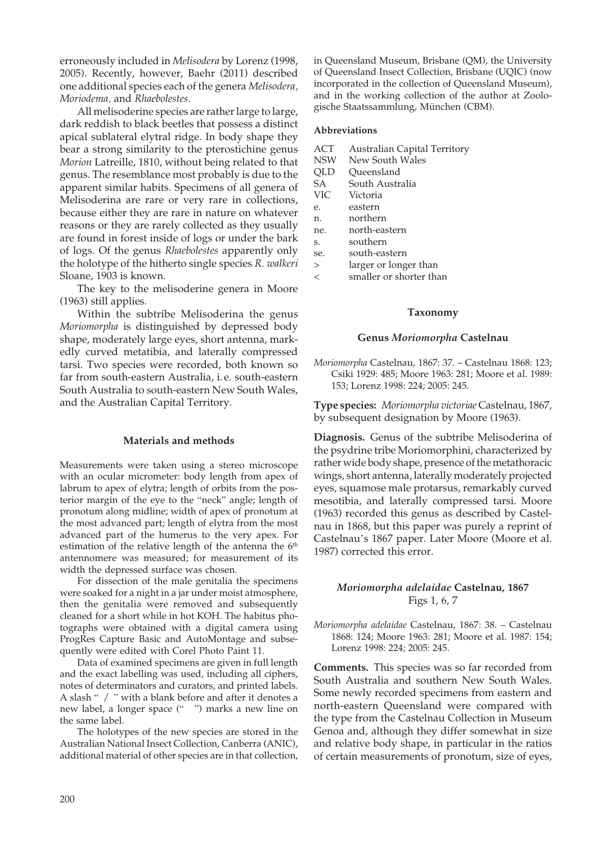erroneously included in *Melisodera* by Lorenz (1998, 2005). Recently, however, Baehr (2011) described one additional species each of the genera *Melisodera, Moriodema,* and *Rhaebolestes.*

All melisoderine species are rather large to large, dark reddish to black beetles that possess a distinct apical sublateral elytral ridge. In body shape they bear a strong similarity to the pterostichine genus *Morion* Latreille, 1810, without being related to that genus. The resemblance most probably is due to the apparent similar habits. Specimens of all genera of Melisoderina are rare or very rare in collections, because either they are rare in nature on whatever reasons or they are rarely collected as they usually are found in forest inside of logs or under the bark of logs. Of the genus *Rhaebolestes* apparently only the holotype of the hitherto single species *R. walkeri* Sloane, 1903 is known.

 The key to the melisoderine genera in Moore (1963) still applies.

 Within the subtribe Melisoderina the genus *Moriomorpha* is distinguished by depressed body shape, moderately large eyes, short antenna, markedly curved metatibia, and laterally compressed tarsi. Two species were recorded, both known so far from south-eastern Australia, i. e. south-eastern South Australia to south-eastern New South Wales, and the Australian Capital Territory.

#### **Materials and methods**

Measurements were taken using a stereo microscope with an ocular micrometer: body length from apex of labrum to apex of elytra; length of orbits from the posterior margin of the eye to the "neck" angle; length of pronotum along midline; width of apex of pronotum at the most advanced part; length of elytra from the most advanced part of the humerus to the very apex. For estimation of the relative length of the antenna the 6<sup>th</sup> antennomere was measured; for measurement of its width the depressed surface was chosen.

 For dissection of the male genitalia the specimens were soaked for a night in a jar under moist atmosphere, then the genitalia were removed and subsequently cleaned for a short while in hot KOH. The habitus photographs were obtained with a digital camera using ProgRes Capture Basic and AutoMontage and subsequently were edited with Corel Photo Paint 11.

 Data of examined specimens are given in full length and the exact labelling was used, including all ciphers, notes of determinators and curators, and printed labels. A slash " / " with a blank before and after it denotes a new label, a longer space (" ") marks a new line on the same label.

 The holotypes of the new species are stored in the Australian National Insect Collection, Canberra (ANIC), additional material of other species are in that collection, in Queensland Museum, Brisbane (QM), the University of Queensland Insect Collection, Brisbane (UQIC) (now incorporated in the collection of Queensland Museum), and in the working collection of the author at Zoologische Staatssammlung, München (CBM).

#### **Abbreviations**

- ACT Australian Capital Territory<br>NSW New South Wales
- NSW New South Wales<br>OLD Oueensland
- QLD Queensland<br>SA South Austr
- SA South Australia<br>VIC Victoria
- Victoria
- e. eastern
- n. northern<br>ne. north-eas
- north-eastern
- s. southern<br>se south-eas
- se. south-eastern<br>> larger or long
- larger or longer than
- < smaller or shorter than

#### **Taxonomy**

#### **Genus** *Moriomorpha* **Castelnau**

*Moriomorpha* Castelnau, 1867: 37. – Castelnau 1868: 123; Csiki 1929: 485; Moore 1963: 281; Moore et al. 1989: 153; Lorenz 1998: 224; 2005: 245.

**Type species:** *Moriomorpha victoriae* Castelnau, 1867, by subsequent designation by Moore (1963).

**Diagnosis.** Genus of the subtribe Melisoderina of the psydrine tribe Moriomorphini, characterized by rather wide body shape, presence of the metathoracic wings, short antenna, laterally moderately projected eyes, squamose male protarsus, remarkably curved mesotibia, and laterally compressed tarsi. Moore (1963) recorded this genus as described by Castelnau in 1868, but this paper was purely a reprint of Castelnau's 1867 paper. Later Moore (Moore et al. 1987) corrected this error.

## *Moriomorpha adelaidae* **Castelnau, 1867** Figs 1, 6, 7

*Moriomorpha adelaidae* Castelnau, 1867: 38. – Castelnau 1868: 124; Moore 1963: 281; Moore et al. 1987: 154; Lorenz 1998: 224; 2005: 245.

**Comments.** This species was so far recorded from South Australia and southern New South Wales. Some newly recorded specimens from eastern and north-eastern Queensland were compared with the type from the Castelnau Collection in Museum Genoa and, although they differ somewhat in size and relative body shape, in particular in the ratios of certain measurements of pronotum, size of eyes,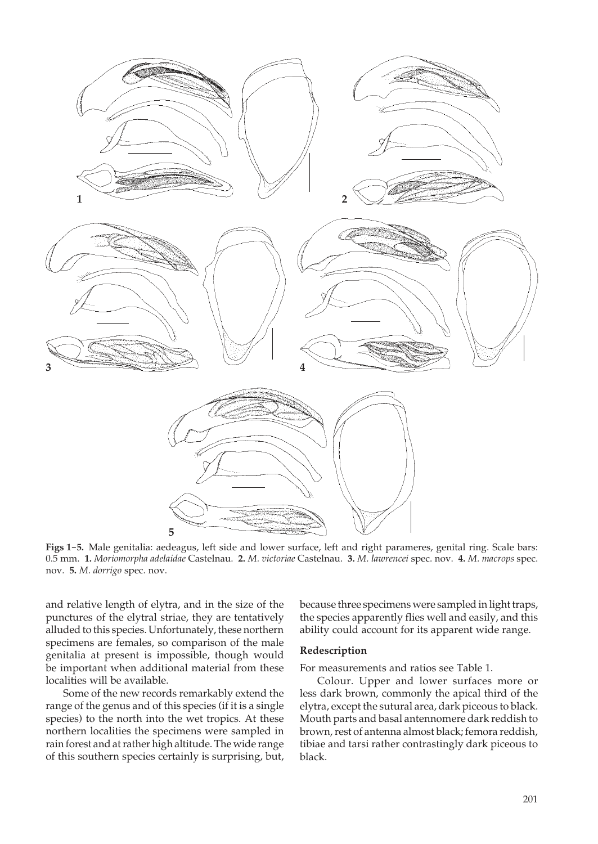

**Figs 1-5.** Male genitalia: aedeagus, left side and lower surface, left and right parameres, genital ring. Scale bars: 0.5 mm. **1.** *Moriomorpha adelaidae* Castelnau. **2.** *M. victoriae* Castelnau. **3.** *M. lawrencei* spec. nov. **4.** *M. macrops* spec. nov. **5.** *M. dorrigo* spec. nov.

and relative length of elytra, and in the size of the punctures of the elytral striae, they are tentatively alluded to this species. Unfortunately, these northern specimens are females, so comparison of the male genitalia at present is impossible, though would be important when additional material from these localities will be available.

 Some of the new records remarkably extend the range of the genus and of this species (if it is a single species) to the north into the wet tropics. At these northern localities the specimens were sampled in rain forest and at rather high altitude. The wide range of this southern species certainly is surprising, but,

because three specimens were sampled in light traps, the species apparently flies well and easily, and this ability could account for its apparent wide range.

#### **Redescription**

For measurements and ratios see Table 1.

 Colour. Upper and lower surfaces more or less dark brown, commonly the apical third of the elytra, except the sutural area, dark piceous to black. Mouth parts and basal antennomere dark reddish to brown, rest of antenna almost black; femora reddish, tibiae and tarsi rather contrastingly dark piceous to black.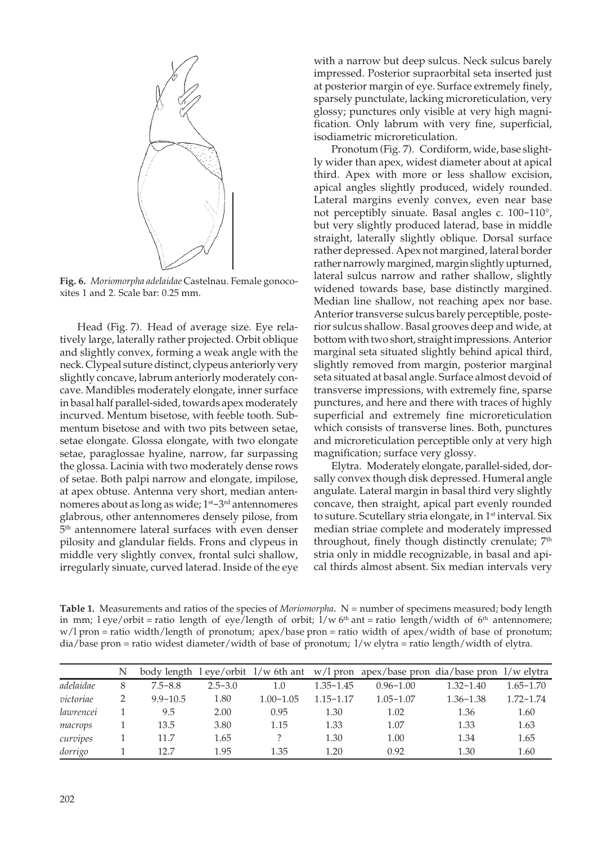

**Fig. 6.** *Moriomorpha adelaidae* Castelnau. Female gonocoxites 1 and 2. Scale bar: 0.25 mm.

 Head (Fig. 7)*.* Head of average size. Eye relatively large, laterally rather projected. Orbit oblique and slightly convex, forming a weak angle with the neck. Clypeal suture distinct, clypeus anteriorly very slightly concave, labrum anteriorly moderately concave. Mandibles moderately elongate, inner surface in basal half parallel-sided, towards apex moderately incurved. Mentum bisetose, with feeble tooth. Submentum bisetose and with two pits between setae, setae elongate. Glossa elongate, with two elongate setae, paraglossae hyaline, narrow, far surpassing the glossa. Lacinia with two moderately dense rows of setae. Both palpi narrow and elongate, impilose, at apex obtuse. Antenna very short, median antennomeres about as long as wide; 1<sup>st</sup>-3<sup>rd</sup> antennomeres glabrous, other antennomeres densely pilose, from 5 th antennomere lateral surfaces with even denser pilosity and glandular fields. Frons and clypeus in middle very slightly convex, frontal sulci shallow, irregularly sinuate, curved laterad. Inside of the eye

with a narrow but deep sulcus. Neck sulcus barely impressed. Posterior supraorbital seta inserted just at posterior margin of eye. Surface extremely finely, sparsely punctulate, lacking microreticulation, very glossy; punctures only visible at very high magnification. Only labrum with very fine, superficial, isodiametric microreticulation.

 Pronotum (Fig. 7). Cordiform, wide, base slightly wider than apex, widest diameter about at apical third. Apex with more or less shallow excision, apical angles slightly produced, widely rounded. Lateral margins evenly convex, even near base not perceptibly sinuate. Basal angles c. 100-110°, but very slightly produced laterad, base in middle straight, laterally slightly oblique. Dorsal surface rather depressed. Apex not margined, lateral border rather narrowly margined, margin slightly upturned, lateral sulcus narrow and rather shallow, slightly widened towards base, base distinctly margined. Median line shallow, not reaching apex nor base. Anterior transverse sulcus barely perceptible, posterior sulcus shallow. Basal grooves deep and wide, at bottom with two short, straight impressions. Anterior marginal seta situated slightly behind apical third, slightly removed from margin, posterior marginal seta situated at basal angle. Surface almost devoid of transverse impressions, with extremely fine, sparse punctures, and here and there with traces of highly superficial and extremely fine microreticulation which consists of transverse lines. Both, punctures and microreticulation perceptible only at very high magnification; surface very glossy.

 Elytra. Moderately elongate, parallel-sided, dorsally convex though disk depressed. Humeral angle angulate. Lateral margin in basal third very slightly concave, then straight, apical part evenly rounded to suture. Scutellary stria elongate, in 1<sup>st</sup> interval. Six median striae complete and moderately impressed throughout, finely though distinctly crenulate; 7<sup>th</sup> stria only in middle recognizable, in basal and apical thirds almost absent. Six median intervals very

**Table 1.** Measurements and ratios of the species of *Moriomorpha.* N = number of specimens measured; body length in mm; l eye/orbit = ratio length of eye/length of orbit;  $1/w 6<sup>th</sup>$  ant = ratio length/width of 6<sup>th</sup> antennomere; w/l pron = ratio width/length of pronotum; apex/base pron = ratio width of apex/width of base of pronotum; dia/base pron = ratio widest diameter/width of base of pronotum; l/w elytra = ratio length/width of elytra.

|           | N |              |             |               |               | body length $l$ eye/orbit $1/w$ 6th ant $w/l$ pron apex/base pron dia/base pron $1/w$ elytra |               |               |
|-----------|---|--------------|-------------|---------------|---------------|----------------------------------------------------------------------------------------------|---------------|---------------|
| adelaidae | 8 | $7.5 - 8.8$  | $2.5 - 3.0$ | 1.0           | $1.35 - 1.45$ | $0.96 - 1.00$                                                                                | $1.32 - 1.40$ | $1.65 - 1.70$ |
| victoriae |   | $9.9 - 10.5$ | 1.80        | $1.00 - 1.05$ | $1.15 - 1.17$ | $1.05 - 1.07$                                                                                | $1.36 - 1.38$ | $1.72 - 1.74$ |
| lawrencei |   | 9.5          | 2.00        | 0.95          | 1.30          | 1.02                                                                                         | 1.36          | 1.60          |
| macrops   |   | 13.5         | 3.80        | 1.15          | 1.33          | 1.07                                                                                         | 1.33          | 1.63          |
| curvipes  |   | 11.7         | 1.65        |               | 1.30          | 1.00                                                                                         | 1.34          | 1.65          |
| dorrigo   |   | 12.7         | 1.95        | 1.35          | 1.20          | 0.92                                                                                         | 1.30          | 1.60          |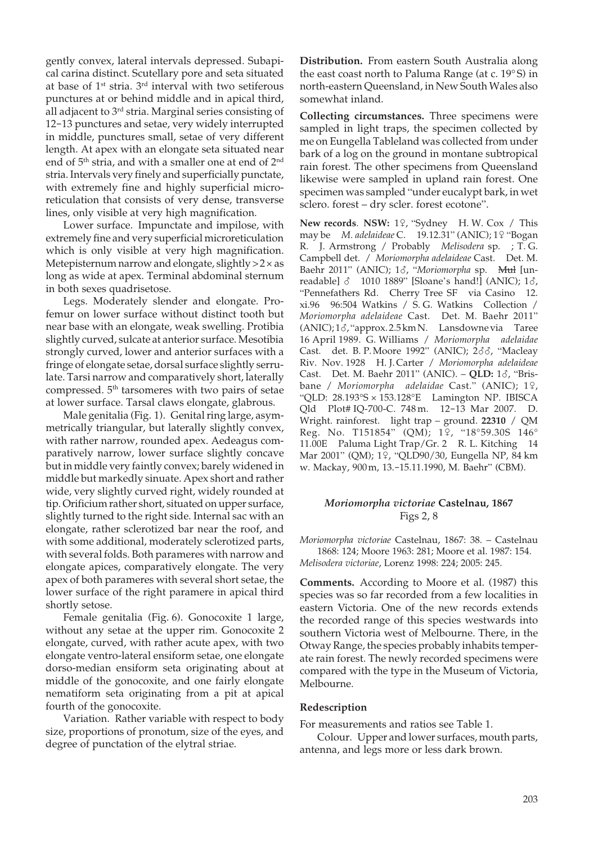gently convex, lateral intervals depressed. Subapical carina distinct. Scutellary pore and seta situated at base of  $1<sup>st</sup>$  stria.  $3<sup>rd</sup>$  interval with two setiferous punctures at or behind middle and in apical third, all adjacent to 3rd stria. Marginal series consisting of 12-13 punctures and setae, very widely interrupted in middle, punctures small, setae of very different length. At apex with an elongate seta situated near end of 5th stria, and with a smaller one at end of 2nd stria. Intervals very finely and superficially punctate, with extremely fine and highly superficial microreticulation that consists of very dense, transverse lines, only visible at very high magnification.

 Lower surface. Impunctate and impilose, with extremely fine and very superficial microreticulation which is only visible at very high magnification. Metepisternum narrow and elongate, slightly  $>2 \times$  as long as wide at apex. Terminal abdominal sternum in both sexes quadrisetose.

 Legs. Moderately slender and elongate. Profemur on lower surface without distinct tooth but near base with an elongate, weak swelling. Protibia slightly curved, sulcate at anterior surface. Mesotibia strongly curved, lower and anterior surfaces with a fringe of elongate setae, dorsal surface slightly serrulate. Tarsi narrow and comparatively short, laterally compressed. 5<sup>th</sup> tarsomeres with two pairs of setae at lower surface. Tarsal claws elongate, glabrous.

 Male genitalia (Fig. 1). Genital ring large, asymmetrically triangular, but laterally slightly convex, with rather narrow, rounded apex. Aedeagus comparatively narrow, lower surface slightly concave but in middle very faintly convex; barely widened in middle but markedly sinuate. Apex short and rather wide, very slightly curved right, widely rounded at tip. Orificium rather short, situated on upper surface, slightly turned to the right side. Internal sac with an elongate, rather sclerotized bar near the roof, and with some additional, moderately sclerotized parts, with several folds. Both parameres with narrow and elongate apices, comparatively elongate. The very apex of both parameres with several short setae, the lower surface of the right paramere in apical third shortly setose.

 Female genitalia (Fig. 6). Gonocoxite 1 large, without any setae at the upper rim. Gonocoxite 2 elongate, curved, with rather acute apex, with two elongate ventro-lateral ensiform setae, one elongate dorso-median ensiform seta originating about at middle of the gonocoxite, and one fairly elongate nematiform seta originating from a pit at apical fourth of the gonocoxite.

 Variation. Rather variable with respect to body size, proportions of pronotum, size of the eyes, and degree of punctation of the elytral striae.

**Distribution.** From eastern South Australia along the east coast north to Paluma Range (at c. 19° S) in north-eastern Queensland, in New South Wales also somewhat inland.

**Collecting circumstances.** Three specimens were sampled in light traps, the specimen collected by me on Eungella Tableland was collected from under bark of a log on the ground in montane subtropical rain forest. The other specimens from Queensland likewise were sampled in upland rain forest. One specimen was sampled "under eucalypt bark, in wet sclero. forest – dry scler. forest ecotone".

**New records. NSW:** 1º, "Sydney H.W. Cox / This may be *M. adelaideae* C. 19.12.31" (ANIC); 1º "Bogan R. J. Armstrong / Probably *Melisodera* sp. ; T. G. Campbell det. / *Moriomorpha adelaideae* Cast. Det. M. Baehr 2011" (ANIC); 18, "Moriomorpha sp. Mul [unreadable]  $\delta$  1010 1889" [Sloane's hand!] (ANIC); 1 $\delta$ , "Pennefathers Rd. Cherry Tree SF via Casino 12. xi.96 96:504 Watkins / S. G. Watkins Collection / *Moriomorpha adelaideae* Cast. Det. M. Baehr 2011"  $(ANIC); 1\delta, "approx. 2.5 km N.$  Lansdowne via Taree 16 April 1989. G. Williams / *Moriomorpha adelaidae* Cast. det. B. P. Moore 1992" (ANIC);  $2\delta\delta$ , "Macleay Riv. Nov. 1928 H. J. Carter / *Moriomorpha adelaideae* Cast. Det. M. Baehr 2011" (ANIC). - OLD: 1&, "Brisbane / *Moriomorpha adelaidae* Cast." (ANIC); 1º, "QLD: 28.193°S × 153.128°E Lamington NP. IBISCA Qld Plot# IQ-700-C. 748 m. 12-13 Mar 2007. D. Wright. rainforest. light trap – ground. **22310** / QM<br>Reg. No. T151854" (QM); 1♀, "18°59.30S 146° 11.00E Paluma Light Trap/Gr. 2 R. L. Kitching 14 Mar 2001" (QM); 19, "QLD90/30, Eungella NP, 84 km w. Mackay, 900 m, 13.-15.11.1990, M. Baehr" (CBM).

#### *Moriomorpha victoriae* **Castelnau, 1867** Figs 2, 8

*Moriomorpha victoriae* Castelnau, 1867: 38. – Castelnau 1868: 124; Moore 1963: 281; Moore et al. 1987: 154. *Melisodera victoriae*, Lorenz 1998: 224; 2005: 245.

**Comments.** According to Moore et al. (1987) this species was so far recorded from a few localities in eastern Victoria. One of the new records extends the recorded range of this species westwards into southern Victoria west of Melbourne. There, in the Otway Range, the species probably inhabits temperate rain forest. The newly recorded specimens were compared with the type in the Museum of Victoria, Melbourne.

#### **Redescription**

For measurements and ratios see Table 1.

 Colour. Upper and lower surfaces, mouth parts, antenna, and legs more or less dark brown.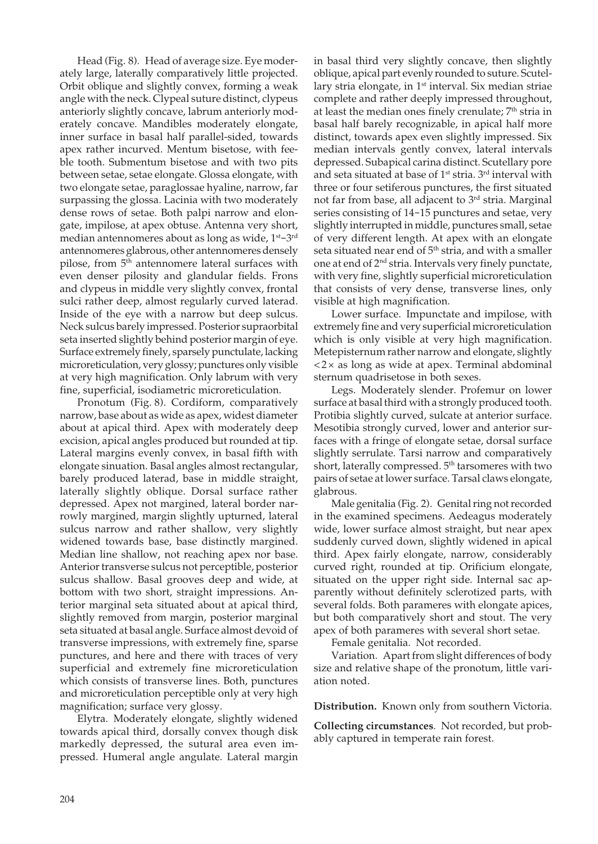Head (Fig. 8)*.* Head of average size. Eye moderately large, laterally comparatively little projected. Orbit oblique and slightly convex, forming a weak angle with the neck. Clypeal suture distinct, clypeus anteriorly slightly concave, labrum anteriorly moderately concave. Mandibles moderately elongate, inner surface in basal half parallel-sided, towards apex rather incurved. Mentum bisetose, with feeble tooth. Submentum bisetose and with two pits between setae, setae elongate. Glossa elongate, with two elongate setae, paraglossae hyaline, narrow, far surpassing the glossa. Lacinia with two moderately dense rows of setae. Both palpi narrow and elongate, impilose, at apex obtuse. Antenna very short, median antennomeres about as long as wide, 1st–3rd antennomeres glabrous, other antennomeres densely pilose, from  $5<sup>th</sup>$  antennomere lateral surfaces with even denser pilosity and glandular fields. Frons and clypeus in middle very slightly convex, frontal sulci rather deep, almost regularly curved laterad. Inside of the eye with a narrow but deep sulcus. Neck sulcus barely impressed. Posterior supraorbital seta inserted slightly behind posterior margin of eye. Surface extremely finely, sparsely punctulate, lacking microreticulation, very glossy; punctures only visible at very high magnification. Only labrum with very fine, superficial, isodiametric microreticulation.

 Pronotum (Fig. 8). Cordiform, comparatively narrow, base about as wide as apex, widest diameter about at apical third. Apex with moderately deep excision, apical angles produced but rounded at tip. Lateral margins evenly convex, in basal fifth with elongate sinuation. Basal angles almost rectangular, barely produced laterad, base in middle straight, laterally slightly oblique. Dorsal surface rather depressed. Apex not margined, lateral border narrowly margined, margin slightly upturned, lateral sulcus narrow and rather shallow, very slightly widened towards base, base distinctly margined. Median line shallow, not reaching apex nor base. Anterior transverse sulcus not perceptible, posterior sulcus shallow. Basal grooves deep and wide, at bottom with two short, straight impressions. Anterior marginal seta situated about at apical third, slightly removed from margin, posterior marginal seta situated at basal angle. Surface almost devoid of transverse impressions, with extremely fine, sparse punctures, and here and there with traces of very superficial and extremely fine microreticulation which consists of transverse lines. Both, punctures and microreticulation perceptible only at very high magnification; surface very glossy.

 Elytra. Moderately elongate, slightly widened towards apical third, dorsally convex though disk markedly depressed, the sutural area even impressed. Humeral angle angulate. Lateral margin in basal third very slightly concave, then slightly oblique, apical part evenly rounded to suture. Scutellary stria elongate, in 1<sup>st</sup> interval. Six median striae complete and rather deeply impressed throughout, at least the median ones finely crenulate; 7th stria in basal half barely recognizable, in apical half more distinct, towards apex even slightly impressed. Six median intervals gently convex, lateral intervals depressed. Subapical carina distinct. Scutellary pore and seta situated at base of 1<sup>st</sup> stria. 3<sup>rd</sup> interval with three or four setiferous punctures, the first situated not far from base, all adjacent to 3<sup>rd</sup> stria. Marginal series consisting of 14-15 punctures and setae, very slightly interrupted in middle, punctures small, setae of very different length. At apex with an elongate seta situated near end of 5<sup>th</sup> stria, and with a smaller one at end of 2nd stria. Intervals very finely punctate, with very fine, slightly superficial microreticulation that consists of very dense, transverse lines, only visible at high magnification.

 Lower surface. Impunctate and impilose, with extremely fine and very superficial microreticulation which is only visible at very high magnification. Metepisternum rather narrow and elongate, slightly  $<$  2 $\times$  as long as wide at apex. Terminal abdominal sternum quadrisetose in both sexes.

 Legs. Moderately slender. Profemur on lower surface at basal third with a strongly produced tooth. Protibia slightly curved, sulcate at anterior surface. Mesotibia strongly curved, lower and anterior surfaces with a fringe of elongate setae, dorsal surface slightly serrulate. Tarsi narrow and comparatively short, laterally compressed. 5<sup>th</sup> tarsomeres with two pairs of setae at lower surface. Tarsal claws elongate, glabrous.

 Male genitalia (Fig. 2). Genital ring not recorded in the examined specimens. Aedeagus moderately wide, lower surface almost straight, but near apex suddenly curved down, slightly widened in apical third. Apex fairly elongate, narrow, considerably curved right, rounded at tip. Orificium elongate, situated on the upper right side. Internal sac apparently without definitely sclerotized parts, with several folds. Both parameres with elongate apices, but both comparatively short and stout. The very apex of both parameres with several short setae.

Female genitalia. Not recorded.

 Variation. Apart from slight differences of body size and relative shape of the pronotum, little variation noted.

**Distribution.** Known only from southern Victoria.

**Collecting circumstances***.* Not recorded, but probably captured in temperate rain forest.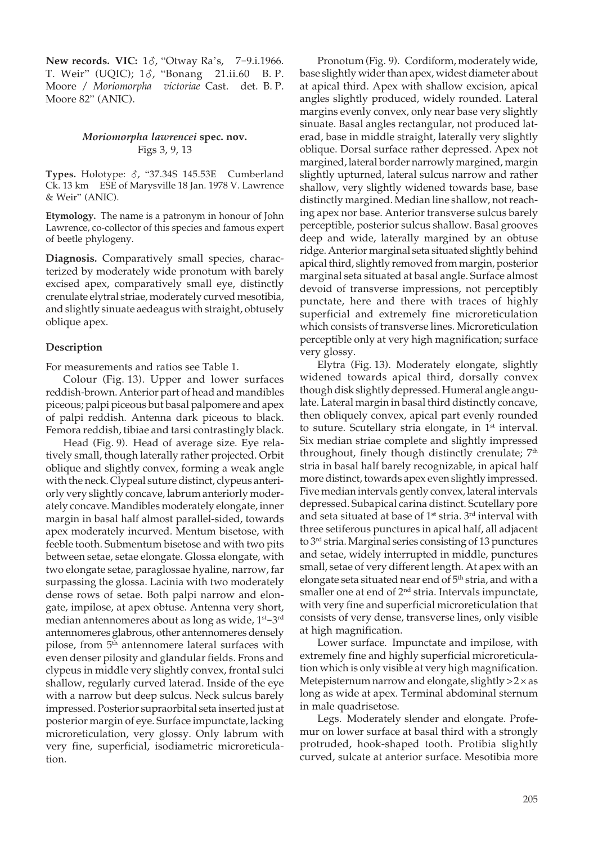**New records. VIC:** 18, "Otway Ra's, 7-9.i.1966. T. Weir" (UQIC); 18, "Bonang 21.ii.60 B. P. Moore / *Moriomorpha victoriae* Cast. det. B. P. Moore 82" (ANIC).

#### *Moriomorpha lawrencei* **spec. nov.** Figs 3, 9, 13

Types. Holotype:  $\delta$ , "37.34S 145.53E Cumberland Ck. 13 km ESE of Marysville 18 Jan. 1978 V. Lawrence & Weir" (ANIC).

**Etymology.** The name is a patronym in honour of John Lawrence, co-collector of this species and famous expert of beetle phylogeny.

**Diagnosis.** Comparatively small species, characterized by moderately wide pronotum with barely excised apex, comparatively small eye, distinctly crenulate elytral striae, moderately curved mesotibia, and slightly sinuate aedeagus with straight, obtusely oblique apex.

## **Description**

For measurements and ratios see Table 1.

 Colour (Fig. 13). Upper and lower surfaces reddish-brown. Anterior part of head and mandibles piceous; palpi piceous but basal palpomere and apex of palpi reddish. Antenna dark piceous to black. Femora reddish, tibiae and tarsi contrastingly black.

 Head (Fig. 9)*.* Head of average size. Eye relatively small, though laterally rather projected. Orbit oblique and slightly convex, forming a weak angle with the neck. Clypeal suture distinct, clypeus anteriorly very slightly concave, labrum anteriorly moderately concave. Mandibles moderately elongate, inner margin in basal half almost parallel-sided, towards apex moderately incurved. Mentum bisetose, with feeble tooth. Submentum bisetose and with two pits between setae, setae elongate. Glossa elongate, with two elongate setae, paraglossae hyaline, narrow, far surpassing the glossa. Lacinia with two moderately dense rows of setae. Both palpi narrow and elongate, impilose, at apex obtuse. Antenna very short, median antennomeres about as long as wide, 1<sup>st</sup>-3<sup>rd</sup> antennomeres glabrous, other antennomeres densely pilose, from 5<sup>th</sup> antennomere lateral surfaces with even denser pilosity and glandular fields. Frons and clypeus in middle very slightly convex, frontal sulci shallow, regularly curved laterad. Inside of the eye with a narrow but deep sulcus. Neck sulcus barely impressed. Posterior supraorbital seta inserted just at posterior margin of eye. Surface impunctate, lacking microreticulation, very glossy. Only labrum with very fine, superficial, isodiametric microreticulation.

 Pronotum (Fig. 9). Cordiform, moderately wide, base slightly wider than apex, widest diameter about at apical third. Apex with shallow excision, apical angles slightly produced, widely rounded. Lateral margins evenly convex, only near base very slightly sinuate. Basal angles rectangular, not produced laterad, base in middle straight, laterally very slightly oblique. Dorsal surface rather depressed. Apex not margined, lateral border narrowly margined, margin slightly upturned, lateral sulcus narrow and rather shallow, very slightly widened towards base, base distinctly margined. Median line shallow, not reaching apex nor base. Anterior transverse sulcus barely perceptible, posterior sulcus shallow. Basal grooves deep and wide, laterally margined by an obtuse ridge. Anterior marginal seta situated slightly behind apical third, slightly removed from margin, posterior marginal seta situated at basal angle. Surface almost devoid of transverse impressions, not perceptibly punctate, here and there with traces of highly superficial and extremely fine microreticulation which consists of transverse lines. Microreticulation perceptible only at very high magnification; surface very glossy.

 Elytra (Fig. 13). Moderately elongate, slightly widened towards apical third, dorsally convex though disk slightly depressed. Humeral angle angulate. Lateral margin in basal third distinctly concave, then obliquely convex, apical part evenly rounded to suture. Scutellary stria elongate, in 1<sup>st</sup> interval. Six median striae complete and slightly impressed throughout, finely though distinctly crenulate; 7<sup>th</sup> stria in basal half barely recognizable, in apical half more distinct, towards apex even slightly impressed. Five median intervals gently convex, lateral intervals depressed. Subapical carina distinct. Scutellary pore and seta situated at base of 1st stria. 3rd interval with three setiferous punctures in apical half, all adjacent to 3rd stria. Marginal series consisting of 13 punctures and setae, widely interrupted in middle, punctures small, setae of very different length. At apex with an elongate seta situated near end of 5<sup>th</sup> stria, and with a smaller one at end of 2<sup>nd</sup> stria. Intervals impunctate, with very fine and superficial microreticulation that consists of very dense, transverse lines, only visible at high magnification.

 Lower surface. Impunctate and impilose, with extremely fine and highly superficial microreticulation which is only visible at very high magnification. Metepisternum narrow and elongate, slightly > 2 × as long as wide at apex. Terminal abdominal sternum in male quadrisetose.

 Legs. Moderately slender and elongate. Profemur on lower surface at basal third with a strongly protruded, hook-shaped tooth. Protibia slightly curved, sulcate at anterior surface. Mesotibia more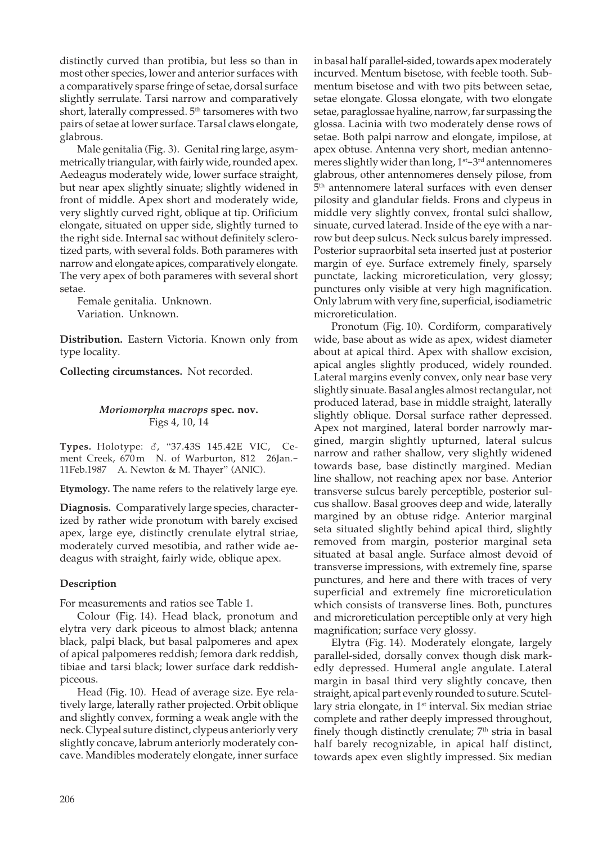distinctly curved than protibia, but less so than in most other species, lower and anterior surfaces with a comparatively sparse fringe of setae, dorsal surface slightly serrulate. Tarsi narrow and comparatively short, laterally compressed. 5<sup>th</sup> tarsomeres with two pairs of setae at lower surface. Tarsal claws elongate, glabrous.

 Male genitalia (Fig. 3). Genital ring large, asymmetrically triangular, with fairly wide, rounded apex. Aedeagus moderately wide, lower surface straight, but near apex slightly sinuate; slightly widened in front of middle. Apex short and moderately wide, very slightly curved right, oblique at tip. Orificium elongate, situated on upper side, slightly turned to the right side. Internal sac without definitely sclerotized parts, with several folds. Both parameres with narrow and elongate apices, comparatively elongate. The very apex of both parameres with several short setae.

 Female genitalia. Unknown. Variation. Unknown.

**Distribution.** Eastern Victoria. Known only from type locality.

**Collecting circumstances.** Not recorded.

## *Moriomorpha macrops* **spec. nov.** Figs 4, 10, 14

**Types.** Holotype:  $\delta$ , "37.43S 145.42E VIC, Ce-<br>ment Creek, 670m N. of Warburton, 812 26Jan.ment Creek, 670 m N. of Warburton, 812 11Feb.1987 A. Newton & M. Thayer" (ANIC).

**Etymology.** The name refers to the relatively large eye.

**Diagnosis.** Comparatively large species, characterized by rather wide pronotum with barely excised apex, large eye, distinctly crenulate elytral striae, moderately curved mesotibia, and rather wide aedeagus with straight, fairly wide, oblique apex.

## **Description**

For measurements and ratios see Table 1.

 Colour (Fig. 14). Head black, pronotum and elytra very dark piceous to almost black; antenna black, palpi black, but basal palpomeres and apex of apical palpomeres reddish; femora dark reddish, tibiae and tarsi black; lower surface dark reddishpiceous.

 Head (Fig. 10)*.* Head of average size. Eye relatively large, laterally rather projected. Orbit oblique and slightly convex, forming a weak angle with the neck. Clypeal suture distinct, clypeus anteriorly very slightly concave, labrum anteriorly moderately concave. Mandibles moderately elongate, inner surface in basal half parallel-sided, towards apex moderately incurved. Mentum bisetose, with feeble tooth. Submentum bisetose and with two pits between setae, setae elongate. Glossa elongate, with two elongate setae, paraglossae hyaline, narrow, far surpassing the glossa. Lacinia with two moderately dense rows of setae. Both palpi narrow and elongate, impilose, at apex obtuse. Antenna very short, median antennomeres slightly wider than long, 1<sup>st</sup>–3<sup>rd</sup> antennomeres glabrous, other antennomeres densely pilose, from 5 th antennomere lateral surfaces with even denser pilosity and glandular fields. Frons and clypeus in middle very slightly convex, frontal sulci shallow, sinuate, curved laterad. Inside of the eye with a narrow but deep sulcus. Neck sulcus barely impressed. Posterior supraorbital seta inserted just at posterior margin of eye. Surface extremely finely, sparsely punctate, lacking microreticulation, very glossy; punctures only visible at very high magnification. Only labrum with very fine, superficial, isodiametric microreticulation.

 Pronotum (Fig. 10). Cordiform, comparatively wide, base about as wide as apex, widest diameter about at apical third. Apex with shallow excision, apical angles slightly produced, widely rounded. Lateral margins evenly convex, only near base very slightly sinuate. Basal angles almost rectangular, not produced laterad, base in middle straight, laterally slightly oblique. Dorsal surface rather depressed. Apex not margined, lateral border narrowly margined, margin slightly upturned, lateral sulcus narrow and rather shallow, very slightly widened towards base, base distinctly margined. Median line shallow, not reaching apex nor base. Anterior transverse sulcus barely perceptible, posterior sulcus shallow. Basal grooves deep and wide, laterally margined by an obtuse ridge. Anterior marginal seta situated slightly behind apical third, slightly removed from margin, posterior marginal seta situated at basal angle. Surface almost devoid of transverse impressions, with extremely fine, sparse punctures, and here and there with traces of very superficial and extremely fine microreticulation which consists of transverse lines. Both, punctures and microreticulation perceptible only at very high magnification; surface very glossy.

 Elytra (Fig. 14). Moderately elongate, largely parallel-sided, dorsally convex though disk markedly depressed. Humeral angle angulate. Lateral margin in basal third very slightly concave, then straight, apical part evenly rounded to suture. Scutellary stria elongate, in 1<sup>st</sup> interval. Six median striae complete and rather deeply impressed throughout, finely though distinctly crenulate;  $7<sup>th</sup>$  stria in basal half barely recognizable, in apical half distinct, towards apex even slightly impressed. Six median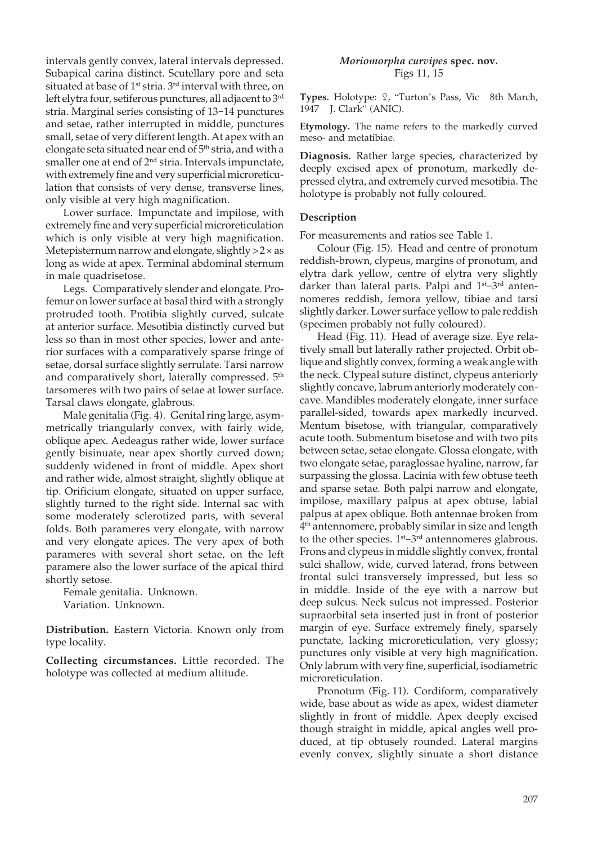intervals gently convex, lateral intervals depressed. Subapical carina distinct. Scutellary pore and seta situated at base of 1<sup>st</sup> stria. 3<sup>rd</sup> interval with three, on left elytra four, setiferous punctures, all adjacent to 3rd stria. Marginal series consisting of 13-14 punctures and setae, rather interrupted in middle, punctures small, setae of very different length. At apex with an elongate seta situated near end of 5<sup>th</sup> stria, and with a smaller one at end of  $2<sup>nd</sup>$  stria. Intervals impunctate, with extremely fine and very superficial microreticulation that consists of very dense, transverse lines, only visible at very high magnification.

 Lower surface. Impunctate and impilose, with extremely fine and very superficial microreticulation which is only visible at very high magnification. Metepisternum narrow and elongate, slightly  $>2 \times$  as long as wide at apex. Terminal abdominal sternum in male quadrisetose.

 Legs. Comparatively slender and elongate. Profemur on lower surface at basal third with a strongly protruded tooth. Protibia slightly curved, sulcate at anterior surface. Mesotibia distinctly curved but less so than in most other species, lower and anterior surfaces with a comparatively sparse fringe of setae, dorsal surface slightly serrulate. Tarsi narrow and comparatively short, laterally compressed. 5<sup>th</sup> tarsomeres with two pairs of setae at lower surface. Tarsal claws elongate, glabrous.

 Male genitalia (Fig. 4). Genital ring large, asymmetrically triangularly convex, with fairly wide, oblique apex. Aedeagus rather wide, lower surface gently bisinuate, near apex shortly curved down; suddenly widened in front of middle. Apex short and rather wide, almost straight, slightly oblique at tip. Orificium elongate, situated on upper surface, slightly turned to the right side. Internal sac with some moderately sclerotized parts, with several folds. Both parameres very elongate, with narrow and very elongate apices. The very apex of both parameres with several short setae, on the left paramere also the lower surface of the apical third shortly setose.

 Female genitalia. Unknown. Variation. Unknown.

**Distribution.** Eastern Victoria. Known only from type locality.

**Collecting circumstances.** Little recorded. The holotype was collected at medium altitude.

#### *Moriomorpha curvipes* **spec. nov.** Figs 11, 15

Types. Holotype:  $9$ , "Turton's Pass, Vic 8th March, 1947 J. Clark" (ANIC).

**Etymology.** The name refers to the markedly curved meso- and metatibiae.

**Diagnosis.** Rather large species, characterized by deeply excised apex of pronotum, markedly depressed elytra, and extremely curved mesotibia. The holotype is probably not fully coloured.

## **Description**

For measurements and ratios see Table 1.

 Colour (Fig. 15). Head and centre of pronotum reddish-brown, clypeus, margins of pronotum, and elytra dark yellow, centre of elytra very slightly darker than lateral parts. Palpi and 1<sup>st</sup>-3<sup>rd</sup> antennomeres reddish, femora yellow, tibiae and tarsi slightly darker. Lower surface yellow to pale reddish (specimen probably not fully coloured).

 Head (Fig. 11). Head of average size. Eye relatively small but laterally rather projected. Orbit oblique and slightly convex, forming a weak angle with the neck. Clypeal suture distinct, clypeus anteriorly slightly concave, labrum anteriorly moderately concave. Mandibles moderately elongate, inner surface parallel-sided, towards apex markedly incurved. Mentum bisetose, with triangular, comparatively acute tooth. Submentum bisetose and with two pits between setae, setae elongate. Glossa elongate, with two elongate setae, paraglossae hyaline, narrow, far surpassing the glossa. Lacinia with few obtuse teeth and sparse setae. Both palpi narrow and elongate, impilose, maxillary palpus at apex obtuse, labial palpus at apex oblique. Both antennae broken from 4 th antennomere, probably similar in size and length to the other species.  $1<sup>st</sup>-3<sup>rd</sup>$  antennomeres glabrous. Frons and clypeus in middle slightly convex, frontal sulci shallow, wide, curved laterad, frons between frontal sulci transversely impressed, but less so in middle. Inside of the eye with a narrow but deep sulcus. Neck sulcus not impressed. Posterior supraorbital seta inserted just in front of posterior margin of eye. Surface extremely finely, sparsely punctate, lacking microreticulation, very glossy; punctures only visible at very high magnification. Only labrum with very fine, superficial, isodiametric microreticulation.

 Pronotum (Fig. 11). Cordiform, comparatively wide, base about as wide as apex, widest diameter slightly in front of middle. Apex deeply excised though straight in middle, apical angles well produced, at tip obtusely rounded. Lateral margins evenly convex, slightly sinuate a short distance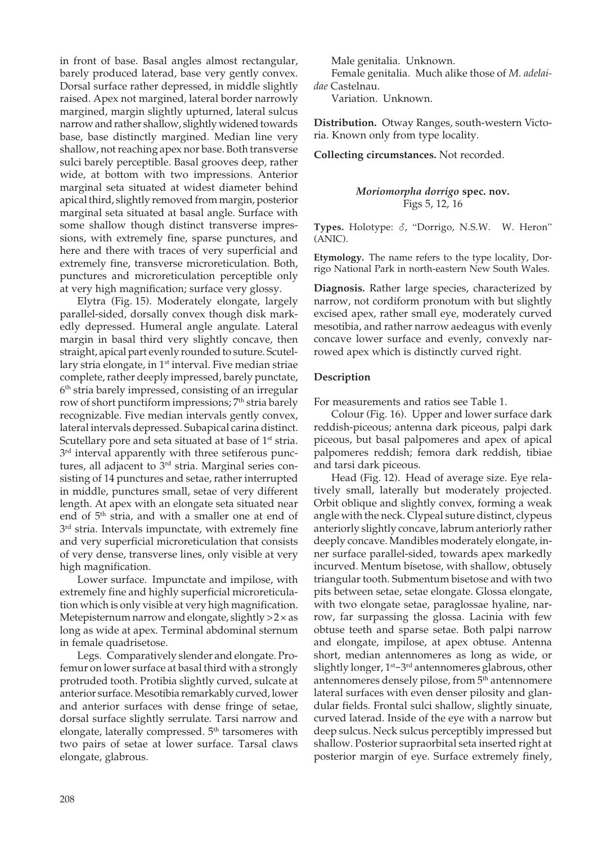in front of base. Basal angles almost rectangular, barely produced laterad, base very gently convex. Dorsal surface rather depressed, in middle slightly raised. Apex not margined, lateral border narrowly margined, margin slightly upturned, lateral sulcus narrow and rather shallow, slightly widened towards base, base distinctly margined. Median line very shallow, not reaching apex nor base. Both transverse sulci barely perceptible. Basal grooves deep, rather wide, at bottom with two impressions. Anterior marginal seta situated at widest diameter behind apical third, slightly removed from margin, posterior marginal seta situated at basal angle. Surface with some shallow though distinct transverse impressions, with extremely fine, sparse punctures, and here and there with traces of very superficial and extremely fine, transverse microreticulation. Both, punctures and microreticulation perceptible only at very high magnification; surface very glossy.

 Elytra (Fig. 15). Moderately elongate, largely parallel-sided, dorsally convex though disk markedly depressed. Humeral angle angulate. Lateral margin in basal third very slightly concave, then straight, apical part evenly rounded to suture. Scutellary stria elongate, in 1<sup>st</sup> interval. Five median striae complete, rather deeply impressed, barely punctate, 6 th stria barely impressed, consisting of an irregular row of short punctiform impressions; 7<sup>th</sup> stria barely recognizable. Five median intervals gently convex, lateral intervals depressed. Subapical carina distinct. Scutellary pore and seta situated at base of 1<sup>st</sup> stria. 3<sup>rd</sup> interval apparently with three setiferous punctures, all adjacent to 3<sup>rd</sup> stria. Marginal series consisting of 14 punctures and setae, rather interrupted in middle, punctures small, setae of very different length. At apex with an elongate seta situated near end of 5<sup>th</sup> stria, and with a smaller one at end of 3 rd stria. Intervals impunctate, with extremely fine and very superficial microreticulation that consists of very dense, transverse lines, only visible at very high magnification.

 Lower surface. Impunctate and impilose, with extremely fine and highly superficial microreticulation which is only visible at very high magnification. Metepisternum narrow and elongate, slightly  $>2 \times$  as long as wide at apex. Terminal abdominal sternum in female quadrisetose.

 Legs. Comparatively slender and elongate. Profemur on lower surface at basal third with a strongly protruded tooth. Protibia slightly curved, sulcate at anterior surface. Mesotibia remarkably curved, lower and anterior surfaces with dense fringe of setae, dorsal surface slightly serrulate. Tarsi narrow and elongate, laterally compressed. 5<sup>th</sup> tarsomeres with two pairs of setae at lower surface. Tarsal claws elongate, glabrous.

Male genitalia. Unknown.

 Female genitalia. Much alike those of *M. adelaidae* Castelnau.

Variation. Unknown.

**Distribution.** Otway Ranges, south-western Victoria. Known only from type locality.

**Collecting circumstances.** Not recorded.

*Moriomorpha dorrigo* **spec. nov.** Figs 5, 12, 16

Types. Holotype:  $\delta$ , "Dorrigo, N.S.W. W. Heron" (ANIC).

**Etymology.** The name refers to the type locality, Dorrigo National Park in north-eastern New South Wales.

**Diagnosis.** Rather large species, characterized by narrow, not cordiform pronotum with but slightly excised apex, rather small eye, moderately curved mesotibia, and rather narrow aedeagus with evenly concave lower surface and evenly, convexly narrowed apex which is distinctly curved right.

#### **Description**

For measurements and ratios see Table 1.

 Colour (Fig. 16). Upper and lower surface dark reddish-piceous; antenna dark piceous, palpi dark piceous, but basal palpomeres and apex of apical palpomeres reddish; femora dark reddish, tibiae and tarsi dark piceous.

 Head (Fig. 12). Head of average size. Eye relatively small, laterally but moderately projected. Orbit oblique and slightly convex, forming a weak angle with the neck. Clypeal suture distinct, clypeus anteriorly slightly concave, labrum anteriorly rather deeply concave. Mandibles moderately elongate, inner surface parallel-sided, towards apex markedly incurved. Mentum bisetose, with shallow, obtusely triangular tooth. Submentum bisetose and with two pits between setae, setae elongate. Glossa elongate, with two elongate setae, paraglossae hyaline, narrow, far surpassing the glossa. Lacinia with few obtuse teeth and sparse setae. Both palpi narrow and elongate, impilose, at apex obtuse. Antenna short, median antennomeres as long as wide, or slightly longer, 1<sup>st</sup>–3<sup>rd</sup> antennomeres glabrous, other antennomeres densely pilose, from 5<sup>th</sup> antennomere lateral surfaces with even denser pilosity and glandular fields. Frontal sulci shallow, slightly sinuate, curved laterad. Inside of the eye with a narrow but deep sulcus. Neck sulcus perceptibly impressed but shallow. Posterior supraorbital seta inserted right at posterior margin of eye. Surface extremely finely,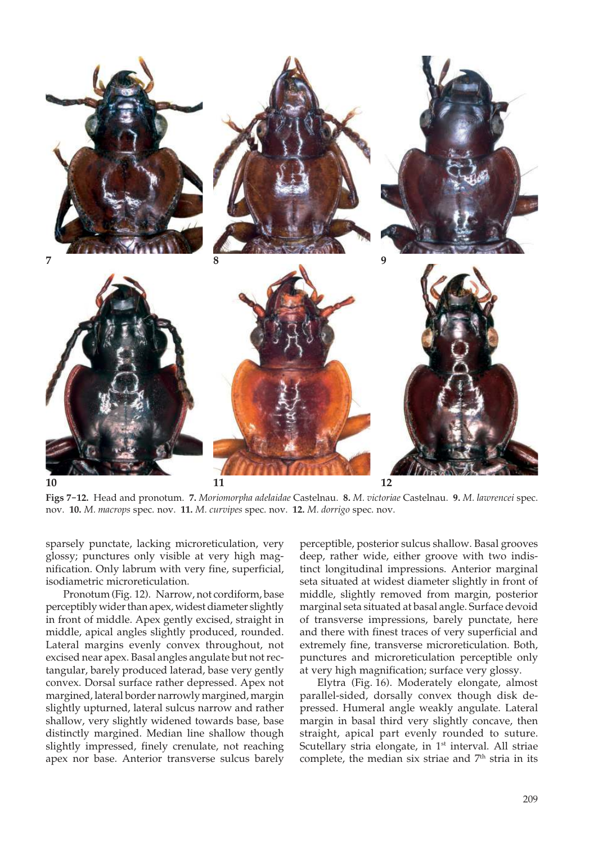

**Figs 7-12.** Head and pronotum. **7.** *Moriomorpha adelaidae* Castelnau. **8.** *M. victoriae* Castelnau. **9.** *M. lawrencei* spec. nov. **10.** *M. macrops* spec. nov. **11.** *M. curvipes* spec. nov. **12.** *M. dorrigo* spec. nov.

sparsely punctate, lacking microreticulation, very glossy; punctures only visible at very high magnification. Only labrum with very fine, superficial, isodiametric microreticulation.

 Pronotum (Fig. 12). Narrow, not cordiform, base perceptibly wider than apex, widest diameter slightly in front of middle. Apex gently excised, straight in middle, apical angles slightly produced, rounded. Lateral margins evenly convex throughout, not excised near apex. Basal angles angulate but not rectangular, barely produced laterad, base very gently convex. Dorsal surface rather depressed. Apex not margined, lateral border narrowly margined, margin slightly upturned, lateral sulcus narrow and rather shallow, very slightly widened towards base, base distinctly margined. Median line shallow though slightly impressed, finely crenulate, not reaching apex nor base. Anterior transverse sulcus barely

perceptible, posterior sulcus shallow. Basal grooves deep, rather wide, either groove with two indistinct longitudinal impressions. Anterior marginal seta situated at widest diameter slightly in front of middle, slightly removed from margin, posterior marginal seta situated at basal angle. Surface devoid of transverse impressions, barely punctate, here and there with finest traces of very superficial and extremely fine, transverse microreticulation. Both, punctures and microreticulation perceptible only at very high magnification; surface very glossy.

 Elytra (Fig. 16). Moderately elongate, almost parallel-sided, dorsally convex though disk depressed. Humeral angle weakly angulate. Lateral margin in basal third very slightly concave, then straight, apical part evenly rounded to suture. Scutellary stria elongate, in 1<sup>st</sup> interval. All striae complete, the median six striae and 7<sup>th</sup> stria in its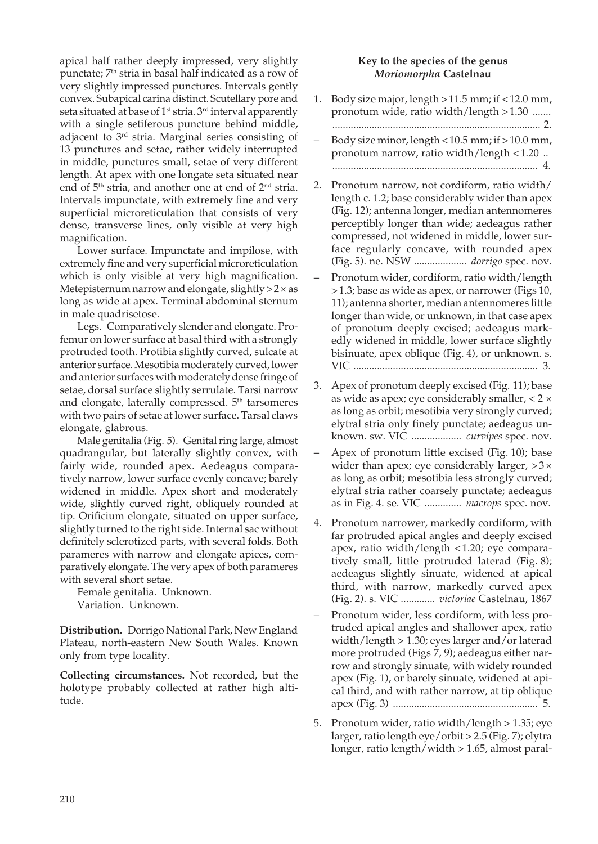apical half rather deeply impressed, very slightly punctate; 7<sup>th</sup> stria in basal half indicated as a row of very slightly impressed punctures. Intervals gently convex. Subapical carina distinct. Scutellary pore and seta situated at base of 1<sup>st</sup> stria. 3<sup>rd</sup> interval apparently with a single setiferous puncture behind middle, adjacent to 3rd stria. Marginal series consisting of 13 punctures and setae, rather widely interrupted in middle, punctures small, setae of very different length. At apex with one longate seta situated near end of 5<sup>th</sup> stria, and another one at end of 2<sup>nd</sup> stria. Intervals impunctate, with extremely fine and very superficial microreticulation that consists of very dense, transverse lines, only visible at very high magnification.

 Lower surface. Impunctate and impilose, with extremely fine and very superficial microreticulation which is only visible at very high magnification. Metepisternum narrow and elongate, slightly  $>2 \times$  as long as wide at apex. Terminal abdominal sternum in male quadrisetose.

 Legs. Comparatively slender and elongate. Profemur on lower surface at basal third with a strongly protruded tooth. Protibia slightly curved, sulcate at anterior surface. Mesotibia moderately curved, lower and anterior surfaces with moderately dense fringe of setae, dorsal surface slightly serrulate. Tarsi narrow and elongate, laterally compressed. 5<sup>th</sup> tarsomeres with two pairs of setae at lower surface. Tarsal claws elongate, glabrous.

 Male genitalia (Fig. 5). Genital ring large, almost quadrangular, but laterally slightly convex, with fairly wide, rounded apex. Aedeagus comparatively narrow, lower surface evenly concave; barely widened in middle. Apex short and moderately wide, slightly curved right, obliquely rounded at tip. Orificium elongate, situated on upper surface, slightly turned to the right side. Internal sac without definitely sclerotized parts, with several folds. Both parameres with narrow and elongate apices, comparatively elongate. The very apex of both parameres with several short setae.

 Female genitalia. Unknown. Variation. Unknown.

**Distribution.** Dorrigo National Park, New England Plateau, north-eastern New South Wales. Known only from type locality.

**Collecting circumstances.** Not recorded, but the holotype probably collected at rather high altitude.

## **Key to the species of the genus**  *Moriomorpha* **Castelnau**

- 1. Body size major, length > 11.5 mm; if < 12.0 mm, pronotum wide, ratio width/length > 1.30 ....... ............................................................................... 2.
- Body size minor, length < 10.5 mm; if > 10.0 mm, pronotum narrow, ratio width/length < 1.20 .. .............................................................................. 4.
- 2. Pronotum narrow, not cordiform, ratio width/ length c. 1.2; base considerably wider than apex (Fig. 12); antenna longer, median antennomeres perceptibly longer than wide; aedeagus rather compressed, not widened in middle, lower surface regularly concave, with rounded apex (Fig. 5). ne. NSW .................... *dorrigo* spec. nov.
- Pronotum wider, cordiform, ratio width/length > 1.3; base as wide as apex, or narrower (Figs 10, 11); antenna shorter, median antennomeres little longer than wide, or unknown, in that case apex of pronotum deeply excised; aedeagus markedly widened in middle, lower surface slightly bisinuate, apex oblique (Fig. 4), or unknown. s. VIC ...................................................................... 3.
- 3. Apex of pronotum deeply excised (Fig. 11); base as wide as apex; eye considerably smaller, < 2 × as long as orbit; mesotibia very strongly curved; elytral stria only finely punctate; aedeagus unknown. sw. VIC ................... *curvipes* spec. nov.
- Apex of pronotum little excised (Fig. 10); base wider than apex; eye considerably larger,  $>3 \times$ as long as orbit; mesotibia less strongly curved; elytral stria rather coarsely punctate; aedeagus as in Fig. 4. se. VIC .............. *macrops* spec. nov.
- 4. Pronotum narrower, markedly cordiform, with far protruded apical angles and deeply excised apex, ratio width/length < 1.20; eye comparatively small, little protruded laterad (Fig. 8); aedeagus slightly sinuate, widened at apical third, with narrow, markedly curved apex (Fig. 2). s. VIC ............. *victoriae* Castelnau, 1867
- Pronotum wider, less cordiform, with less protruded apical angles and shallower apex, ratio width/length > 1.30; eyes larger and/or laterad more protruded (Figs 7, 9); aedeagus either narrow and strongly sinuate, with widely rounded apex (Fig. 1), or barely sinuate, widened at apical third, and with rather narrow, at tip oblique apex (Fig. 3) ....................................................... 5.
- 5. Pronotum wider, ratio width/length > 1.35; eye larger, ratio length eye/orbit > 2.5 (Fig. 7); elytra longer, ratio length/width > 1.65, almost paral-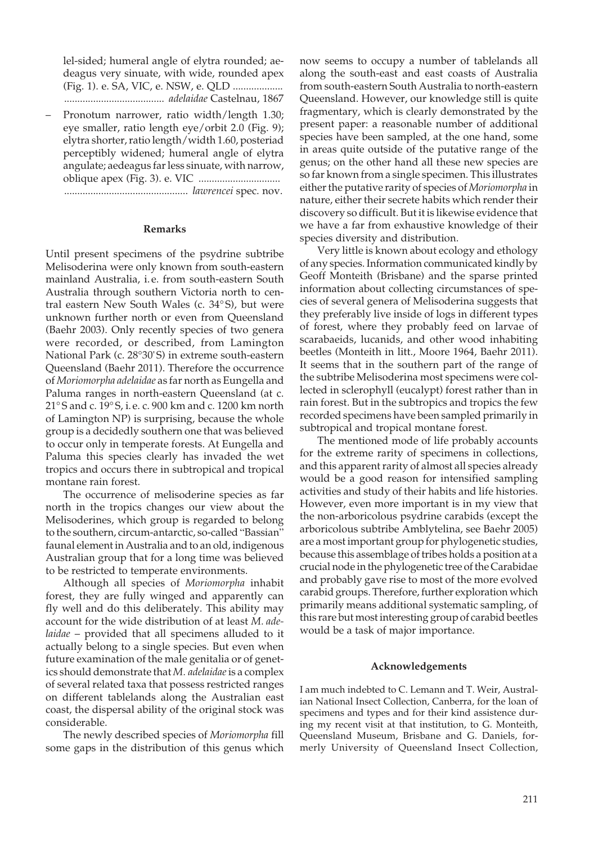lel-sided; humeral angle of elytra rounded; aedeagus very sinuate, with wide, rounded apex (Fig. 1). e. SA, VIC, e. NSW, e. QLD ................... ...................................... *adelaidae* Castelnau, 1867

– Pronotum narrower, ratio width/length 1.30; eye smaller, ratio length eye/orbit 2.0 (Fig. 9); elytra shorter, ratio length/width 1.60, posteriad perceptibly widened; humeral angle of elytra angulate; aedeagus far less sinuate, with narrow, oblique apex (Fig. 3). e. VIC ............................... ............................................... *lawrencei* spec. nov.

## **Remarks**

Until present specimens of the psydrine subtribe Melisoderina were only known from south-eastern mainland Australia, i. e. from south-eastern South Australia through southern Victoria north to central eastern New South Wales (c. 34° S), but were unknown further north or even from Queensland (Baehr 2003). Only recently species of two genera were recorded, or described, from Lamington National Park (c. 28°30' S) in extreme south-eastern Queensland (Baehr 2011). Therefore the occurrence of *Moriomorpha adelaidae* as far north as Eungella and Paluma ranges in north-eastern Queensland (at c. 21° S and c. 19° S, i. e. c. 900 km and c. 1200 km north of Lamington NP) is surprising, because the whole group is a decidedly southern one that was believed to occur only in temperate forests. At Eungella and Paluma this species clearly has invaded the wet tropics and occurs there in subtropical and tropical montane rain forest.

 The occurrence of melisoderine species as far north in the tropics changes our view about the Melisoderines, which group is regarded to belong to the southern, circum-antarctic, so-called "Bassian" faunal element in Australia and to an old, indigenous Australian group that for a long time was believed to be restricted to temperate environments.

 Although all species of *Moriomorpha* inhabit forest, they are fully winged and apparently can fly well and do this deliberately. This ability may account for the wide distribution of at least *M. adelaidae* – provided that all specimens alluded to it actually belong to a single species. But even when future examination of the male genitalia or of genetics should demonstrate that *M. adelaidae* is a complex of several related taxa that possess restricted ranges on different tablelands along the Australian east coast, the dispersal ability of the original stock was considerable.

 The newly described species of *Moriomorpha* fill some gaps in the distribution of this genus which now seems to occupy a number of tablelands all along the south-east and east coasts of Australia from south-eastern South Australia to north-eastern Queensland. However, our knowledge still is quite fragmentary, which is clearly demonstrated by the present paper: a reasonable number of additional species have been sampled, at the one hand, some in areas quite outside of the putative range of the genus; on the other hand all these new species are so far known from a single specimen. This illustrates either the putative rarity of species of *Moriomorpha* in nature, either their secrete habits which render their discovery so difficult. But it is likewise evidence that we have a far from exhaustive knowledge of their species diversity and distribution.

 Very little is known about ecology and ethology of any species. Information communicated kindly by Geoff Monteith (Brisbane) and the sparse printed information about collecting circumstances of species of several genera of Melisoderina suggests that they preferably live inside of logs in different types of forest, where they probably feed on larvae of scarabaeids, lucanids, and other wood inhabiting beetles (Monteith in litt., Moore 1964, Baehr 2011). It seems that in the southern part of the range of the subtribe Melisoderina most specimens were collected in sclerophyll (eucalypt) forest rather than in rain forest. But in the subtropics and tropics the few recorded specimens have been sampled primarily in subtropical and tropical montane forest.

 The mentioned mode of life probably accounts for the extreme rarity of specimens in collections, and this apparent rarity of almost all species already would be a good reason for intensified sampling activities and study of their habits and life histories. However, even more important is in my view that the non-arboricolous psydrine carabids (except the arboricolous subtribe Amblytelina, see Baehr 2005) are a most important group for phylogenetic studies, because this assemblage of tribes holds a position at a crucial node in the phylogenetic tree of the Carabidae and probably gave rise to most of the more evolved carabid groups. Therefore, further exploration which primarily means additional systematic sampling, of this rare but most interesting group of carabid beetles would be a task of major importance.

#### **Acknowledgements**

I am much indebted to C. Lemann and T. Weir, Australian National Insect Collection, Canberra, for the loan of specimens and types and for their kind assistence during my recent visit at that institution, to G. Monteith, Queensland Museum, Brisbane and G. Daniels, formerly University of Queensland Insect Collection,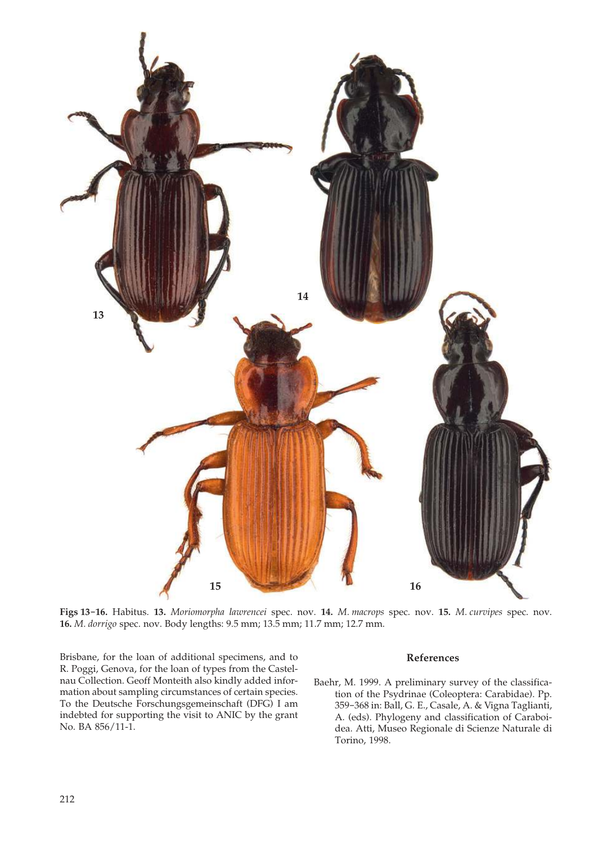

**Figs 13-16.** Habitus. **13.** *Moriomorpha lawrencei* spec. nov. **14.** *M. macrops* spec. nov. **15.** *M. curvipes* spec. nov. **16.** *M. dorrigo* spec. nov. Body lengths: 9.5 mm; 13.5 mm; 11.7 mm; 12.7 mm.

Brisbane, for the loan of additional specimens, and to R. Poggi, Genova, for the loan of types from the Castelnau Collection. Geoff Monteith also kindly added information about sampling circumstances of certain species. To the Deutsche Forschungsgemeinschaft (DFG) I am indebted for supporting the visit to ANIC by the grant No. BA 856/11-1.

#### **References**

Baehr, M. 1999. A preliminary survey of the classification of the Psydrinae (Coleoptera: Carabidae). Pp. 359-368 in: Ball, G. E., Casale, A. & Vigna Taglianti, A. (eds). Phylogeny and classification of Caraboidea. Atti, Museo Regionale di Scienze Naturale di Torino, 1998.